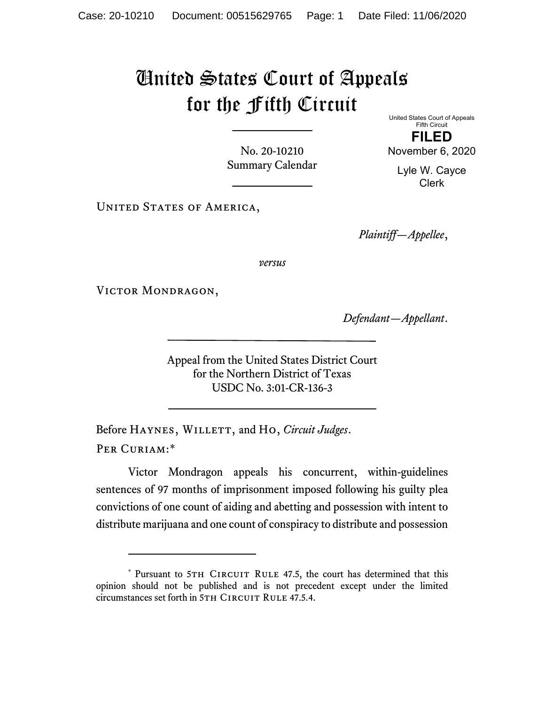## United States Court of Appeals for the Fifth Circuit

No. 20-10210 Summary Calendar United States Court of Appeals Fifth Circuit FILED

November 6, 2020

Lyle W. Cayce Clerk

UNITED STATES OF AMERICA,

Plaintiff—Appellee,

versus

VICTOR MONDRAGON,

Defendant—Appellant.

Appeal from the United States District Court for the Northern District of Texas USDC No. 3:01-CR-136-3

Before HAYNES, WILLETT, and Ho, Circuit Judges. Per Curiam:\*

Victor Mondragon appeals his concurrent, within-guidelines sentences of 97 months of imprisonment imposed following his guilty plea convictions of one count of aiding and abetting and possession with intent to distribute marijuana and one count of conspiracy to distribute and possession

<sup>\*</sup> Pursuant to 5TH CIRCUIT RULE 47.5, the court has determined that this opinion should not be published and is not precedent except under the limited circumstances set forth in 5TH CIRCUIT RULE 47.5.4.